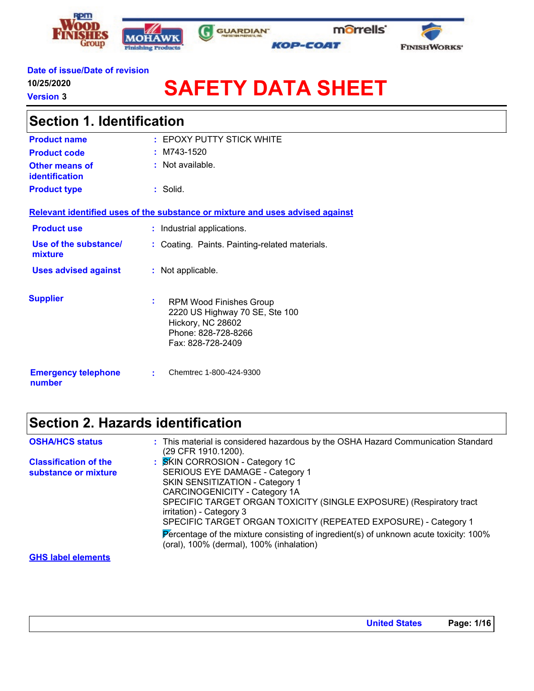





#### **Date of issue/Date of revision**

**10/25/2020**

**Version 3**

'n

# **SAFETY DATA SHEET**

**GUARDIAN** 

G

| <b>Section 1. Identification</b>     |                                                                                                                                         |  |  |
|--------------------------------------|-----------------------------------------------------------------------------------------------------------------------------------------|--|--|
| <b>Product name</b>                  | $:$ EPOXY PUTTY STICK WHITE                                                                                                             |  |  |
| <b>Product code</b>                  | $~:$ M743-1520                                                                                                                          |  |  |
| Other means of<br>identification     | $:$ Not available.                                                                                                                      |  |  |
| <b>Product type</b>                  | : Solid.                                                                                                                                |  |  |
|                                      | Relevant identified uses of the substance or mixture and uses advised against                                                           |  |  |
| <b>Product use</b>                   | : Industrial applications.                                                                                                              |  |  |
| Use of the substance/<br>mixture     | Coating. Paints. Painting-related materials.                                                                                            |  |  |
| <b>Uses advised against</b>          | : Not applicable.                                                                                                                       |  |  |
| <b>Supplier</b>                      | t.<br><b>RPM Wood Finishes Group</b><br>2220 US Highway 70 SE, Ste 100<br>Hickory, NC 28602<br>Phone: 828-728-8266<br>Fax: 828-728-2409 |  |  |
| <b>Emergency telephone</b><br>number | Chemtrec 1-800-424-9300<br>÷.                                                                                                           |  |  |

### **Section 2. Hazards identification**

| <b>OSHA/HCS status</b>                               | : This material is considered hazardous by the OSHA Hazard Communication Standard<br>(29 CFR 1910.1200).                                                                                                                                                                                                                                                                                                                                                |
|------------------------------------------------------|---------------------------------------------------------------------------------------------------------------------------------------------------------------------------------------------------------------------------------------------------------------------------------------------------------------------------------------------------------------------------------------------------------------------------------------------------------|
| <b>Classification of the</b><br>substance or mixture | : SKIN CORROSION - Category 1C<br>SERIOUS EYE DAMAGE - Category 1<br>SKIN SENSITIZATION - Category 1<br><b>CARCINOGENICITY - Category 1A</b><br>SPECIFIC TARGET ORGAN TOXICITY (SINGLE EXPOSURE) (Respiratory tract<br>irritation) - Category 3<br>SPECIFIC TARGET ORGAN TOXICITY (REPEATED EXPOSURE) - Category 1<br>Percentage of the mixture consisting of ingredient(s) of unknown acute toxicity: 100%<br>(oral), 100% (dermal), 100% (inhalation) |
| <b>GHS label elements</b>                            |                                                                                                                                                                                                                                                                                                                                                                                                                                                         |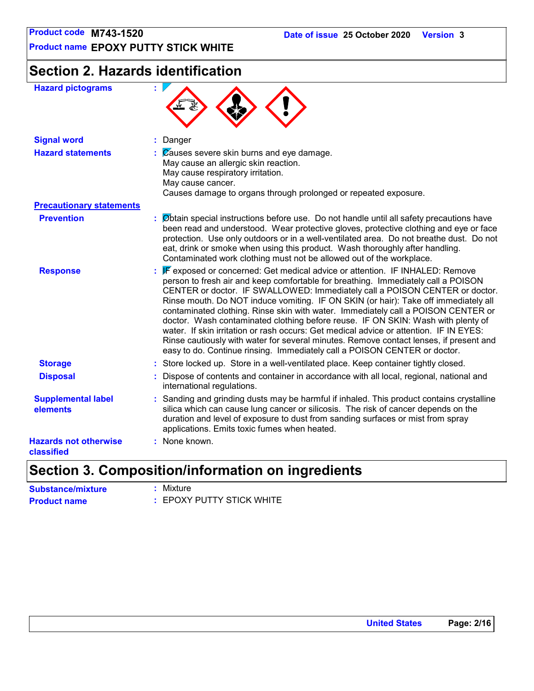**Product name EPOXY PUTTY STICK WHITE**

## **Section 2. Hazards identification**

| <b>Signal word</b><br>: Danger<br><b>Hazard statements</b><br>$\therefore$ $\mathbb{Z}$ auses severe skin burns and eye damage.<br>May cause an allergic skin reaction.<br>May cause respiratory irritation.<br>May cause cancer.<br>Causes damage to organs through prolonged or repeated exposure.<br><b>Precautionary statements</b><br><b>Prevention</b><br>eat, drink or smoke when using this product. Wash thoroughly after handling.<br>Contaminated work clothing must not be allowed out of the workplace.<br>: F exposed or concerned: Get medical advice or attention. IF INHALED: Remove<br><b>Response</b><br>person to fresh air and keep comfortable for breathing. Immediately call a POISON<br>water. If skin irritation or rash occurs: Get medical advice or attention. IF IN EYES:<br>easy to do. Continue rinsing. Immediately call a POISON CENTER or doctor.<br>: Store locked up. Store in a well-ventilated place. Keep container tightly closed.<br><b>Storage</b><br><b>Disposal</b><br>: Dispose of contents and container in accordance with all local, regional, national and<br>international regulations.<br><b>Supplemental label</b><br>silica which can cause lung cancer or silicosis. The risk of cancer depends on the<br>elements<br>duration and level of exposure to dust from sanding surfaces or mist from spray<br>applications. Emits toxic fumes when heated. | <b>Hazard pictograms</b>     | ŧ.                                                                                                                                                                                                                                                                                                                                                                                                                                    |
|--------------------------------------------------------------------------------------------------------------------------------------------------------------------------------------------------------------------------------------------------------------------------------------------------------------------------------------------------------------------------------------------------------------------------------------------------------------------------------------------------------------------------------------------------------------------------------------------------------------------------------------------------------------------------------------------------------------------------------------------------------------------------------------------------------------------------------------------------------------------------------------------------------------------------------------------------------------------------------------------------------------------------------------------------------------------------------------------------------------------------------------------------------------------------------------------------------------------------------------------------------------------------------------------------------------------------------------------------------------------------------------------------------------|------------------------------|---------------------------------------------------------------------------------------------------------------------------------------------------------------------------------------------------------------------------------------------------------------------------------------------------------------------------------------------------------------------------------------------------------------------------------------|
|                                                                                                                                                                                                                                                                                                                                                                                                                                                                                                                                                                                                                                                                                                                                                                                                                                                                                                                                                                                                                                                                                                                                                                                                                                                                                                                                                                                                              |                              |                                                                                                                                                                                                                                                                                                                                                                                                                                       |
|                                                                                                                                                                                                                                                                                                                                                                                                                                                                                                                                                                                                                                                                                                                                                                                                                                                                                                                                                                                                                                                                                                                                                                                                                                                                                                                                                                                                              |                              |                                                                                                                                                                                                                                                                                                                                                                                                                                       |
|                                                                                                                                                                                                                                                                                                                                                                                                                                                                                                                                                                                                                                                                                                                                                                                                                                                                                                                                                                                                                                                                                                                                                                                                                                                                                                                                                                                                              |                              |                                                                                                                                                                                                                                                                                                                                                                                                                                       |
|                                                                                                                                                                                                                                                                                                                                                                                                                                                                                                                                                                                                                                                                                                                                                                                                                                                                                                                                                                                                                                                                                                                                                                                                                                                                                                                                                                                                              |                              | : Øbtain special instructions before use. Do not handle until all safety precautions have<br>been read and understood. Wear protective gloves, protective clothing and eye or face<br>protection. Use only outdoors or in a well-ventilated area. Do not breathe dust. Do not                                                                                                                                                         |
|                                                                                                                                                                                                                                                                                                                                                                                                                                                                                                                                                                                                                                                                                                                                                                                                                                                                                                                                                                                                                                                                                                                                                                                                                                                                                                                                                                                                              |                              | CENTER or doctor. IF SWALLOWED: Immediately call a POISON CENTER or doctor.<br>Rinse mouth. Do NOT induce vomiting. IF ON SKIN (or hair): Take off immediately all<br>contaminated clothing. Rinse skin with water. Immediately call a POISON CENTER or<br>doctor. Wash contaminated clothing before reuse. IF ON SKIN: Wash with plenty of<br>Rinse cautiously with water for several minutes. Remove contact lenses, if present and |
|                                                                                                                                                                                                                                                                                                                                                                                                                                                                                                                                                                                                                                                                                                                                                                                                                                                                                                                                                                                                                                                                                                                                                                                                                                                                                                                                                                                                              |                              |                                                                                                                                                                                                                                                                                                                                                                                                                                       |
|                                                                                                                                                                                                                                                                                                                                                                                                                                                                                                                                                                                                                                                                                                                                                                                                                                                                                                                                                                                                                                                                                                                                                                                                                                                                                                                                                                                                              |                              |                                                                                                                                                                                                                                                                                                                                                                                                                                       |
|                                                                                                                                                                                                                                                                                                                                                                                                                                                                                                                                                                                                                                                                                                                                                                                                                                                                                                                                                                                                                                                                                                                                                                                                                                                                                                                                                                                                              |                              | : Sanding and grinding dusts may be harmful if inhaled. This product contains crystalline                                                                                                                                                                                                                                                                                                                                             |
| classified                                                                                                                                                                                                                                                                                                                                                                                                                                                                                                                                                                                                                                                                                                                                                                                                                                                                                                                                                                                                                                                                                                                                                                                                                                                                                                                                                                                                   | <b>Hazards not otherwise</b> | : None known.                                                                                                                                                                                                                                                                                                                                                                                                                         |

### **Section 3. Composition/information on ingredients**

| <b>Substance/mixture</b> | : Mixture                   |
|--------------------------|-----------------------------|
| <b>Product name</b>      | $:$ EPOXY PUTTY STICK WHITE |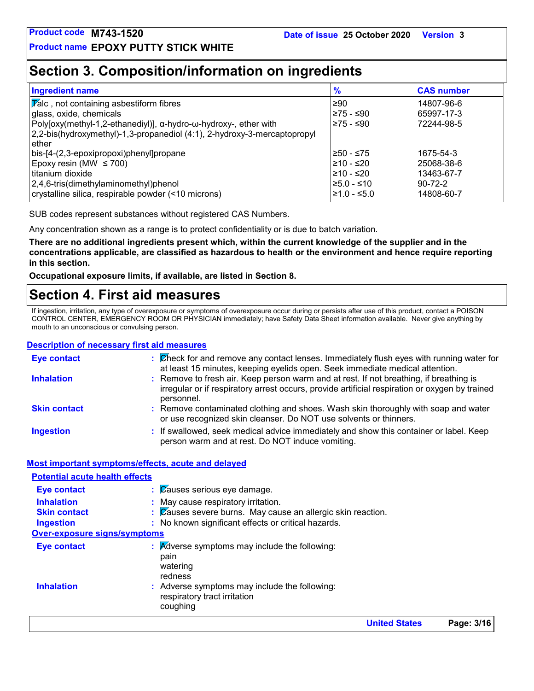### **Section 3. Composition/information on ingredients**

| <b>Ingredient name</b>                                                   | $\frac{9}{6}$ | <b>CAS number</b> |
|--------------------------------------------------------------------------|---------------|-------------------|
| <b>Talc</b> , not containing asbestiform fibres                          | ≥90           | 14807-96-6        |
| glass, oxide, chemicals                                                  | l≥75 - ≤90    | 65997-17-3        |
| Poly[oxy(methyl-1,2-ethanediyl)], α-hydro-ω-hydroxy-, ether with         | 275 - ≤90     | 72244-98-5        |
| 2,2-bis(hydroxymethyl)-1,3-propanediol (4:1), 2-hydroxy-3-mercaptopropyl |               |                   |
| ether                                                                    |               |                   |
| bis-[4-(2,3-epoxipropoxi)phenyl]propane                                  | 1≥50 - ≤75    | 1675-54-3         |
| Epoxy resin (MW $\leq$ 700)                                              | l≥10 - ≤20    | 25068-38-6        |
| l titanium dioxide                                                       | l≥10 - ≤20    | 13463-67-7        |
| $2,4,6$ -tris(dimethylaminomethyl)phenol                                 | l≥5.0 - ≤10   | $90 - 72 - 2$     |
| crystalline silica, respirable powder (<10 microns)                      | l≥1.0 - ≤5.0  | 14808-60-7        |

SUB codes represent substances without registered CAS Numbers.

Any concentration shown as a range is to protect confidentiality or is due to batch variation.

**There are no additional ingredients present which, within the current knowledge of the supplier and in the concentrations applicable, are classified as hazardous to health or the environment and hence require reporting in this section.**

**Occupational exposure limits, if available, are listed in Section 8.**

### **Section 4. First aid measures**

If ingestion, irritation, any type of overexposure or symptoms of overexposure occur during or persists after use of this product, contact a POISON CONTROL CENTER, EMERGENCY ROOM OR PHYSICIAN immediately; have Safety Data Sheet information available. Never give anything by mouth to an unconscious or convulsing person.

#### **Description of necessary first aid measures**

| <b>Eye contact</b>                                                                    | $\therefore$ Check for and remove any contact lenses. Immediately flush eyes with running water for<br>at least 15 minutes, keeping eyelids open. Seek immediate medical attention.                    |
|---------------------------------------------------------------------------------------|--------------------------------------------------------------------------------------------------------------------------------------------------------------------------------------------------------|
| <b>Inhalation</b>                                                                     | : Remove to fresh air. Keep person warm and at rest. If not breathing, if breathing is<br>irregular or if respiratory arrest occurs, provide artificial respiration or oxygen by trained<br>personnel. |
| <b>Skin contact</b>                                                                   | : Remove contaminated clothing and shoes. Wash skin thoroughly with soap and water<br>or use recognized skin cleanser. Do NOT use solvents or thinners.                                                |
| <b>Ingestion</b>                                                                      | : If swallowed, seek medical advice immediately and show this container or label. Keep<br>person warm and at rest. Do NOT induce vomiting.                                                             |
|                                                                                       | Most important symptoms/effects, acute and delayed                                                                                                                                                     |
| <b>Potential acute health effects</b>                                                 |                                                                                                                                                                                                        |
| <b>First construction of the construction of the construction of the construction</b> | $\overline{\mathsf{O}}$                                                                                                                                                                                |

|                                     | <b>United States</b>                                                                                                     | Page: 3/16 |
|-------------------------------------|--------------------------------------------------------------------------------------------------------------------------|------------|
| <b>Inhalation</b>                   | pain<br>watering<br>redness<br>: Adverse symptoms may include the following:<br>respiratory tract irritation<br>coughing |            |
| Eye contact                         | $\therefore$ Adverse symptoms may include the following:                                                                 |            |
| <b>Over-exposure signs/symptoms</b> |                                                                                                                          |            |
| <b>Ingestion</b>                    | : No known significant effects or critical hazards.                                                                      |            |
| <b>Skin contact</b>                 | $\therefore$ Zauses severe burns. May cause an allergic skin reaction.                                                   |            |
| <b>Inhalation</b>                   | : May cause respiratory irritation.                                                                                      |            |
| <b>Eye contact</b>                  | $\therefore$ $\emptyset$ auses serious eye damage.                                                                       |            |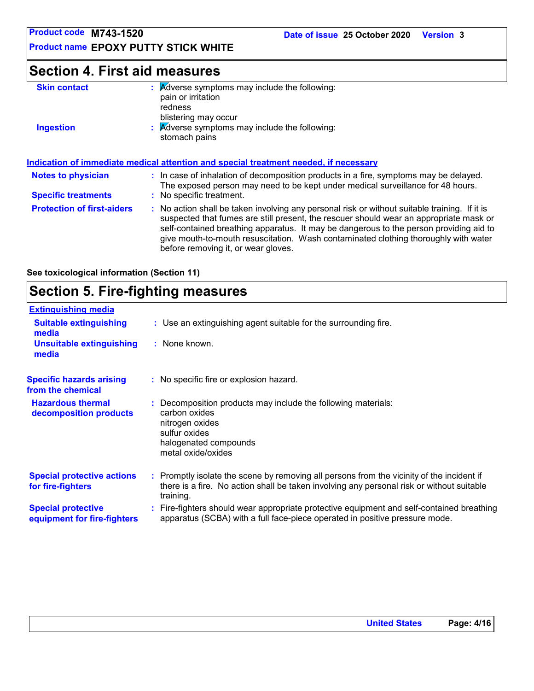**Product name EPOXY PUTTY STICK WHITE**

### **Section 4. First aid measures**

| <b>Skin contact</b> | <b>Adverse symptoms may include the following:</b><br>pain or irritation<br>redness<br>blistering may occur |
|---------------------|-------------------------------------------------------------------------------------------------------------|
| <b>Ingestion</b>    | : Adverse symptoms may include the following:<br>stomach pains                                              |
|                     | <u>Indication of immediate medical attention and special treatment needed if necessary</u>                  |

|                                   | <u>Multanon of Millioniale Medital alternoli and special treatment heeded. If hetessary</u>                                                                                                                                                                                                                                                                                                                     |  |
|-----------------------------------|-----------------------------------------------------------------------------------------------------------------------------------------------------------------------------------------------------------------------------------------------------------------------------------------------------------------------------------------------------------------------------------------------------------------|--|
| <b>Notes to physician</b>         | : In case of inhalation of decomposition products in a fire, symptoms may be delayed.<br>The exposed person may need to be kept under medical surveillance for 48 hours.                                                                                                                                                                                                                                        |  |
| <b>Specific treatments</b>        | : No specific treatment.                                                                                                                                                                                                                                                                                                                                                                                        |  |
| <b>Protection of first-aiders</b> | : No action shall be taken involving any personal risk or without suitable training. If it is<br>suspected that fumes are still present, the rescuer should wear an appropriate mask or<br>self-contained breathing apparatus. It may be dangerous to the person providing aid to<br>give mouth-to-mouth resuscitation. Wash contaminated clothing thoroughly with water<br>before removing it, or wear gloves. |  |

**See toxicological information (Section 11)**

### **Section 5. Fire-fighting measures**

| <b>Extinguishing media</b>                               |                                                                                                                                                                                                     |
|----------------------------------------------------------|-----------------------------------------------------------------------------------------------------------------------------------------------------------------------------------------------------|
| <b>Suitable extinguishing</b><br>media                   | : Use an extinguishing agent suitable for the surrounding fire.                                                                                                                                     |
| <b>Unsuitable extinguishing</b><br>media                 | : None known.                                                                                                                                                                                       |
| <b>Specific hazards arising</b><br>from the chemical     | : No specific fire or explosion hazard.                                                                                                                                                             |
| <b>Hazardous thermal</b><br>decomposition products       | Decomposition products may include the following materials:<br>carbon oxides<br>nitrogen oxides<br>sulfur oxides<br>halogenated compounds<br>metal oxide/oxides                                     |
| <b>Special protective actions</b><br>for fire-fighters   | : Promptly isolate the scene by removing all persons from the vicinity of the incident if<br>there is a fire. No action shall be taken involving any personal risk or without suitable<br>training. |
| <b>Special protective</b><br>equipment for fire-fighters | : Fire-fighters should wear appropriate protective equipment and self-contained breathing<br>apparatus (SCBA) with a full face-piece operated in positive pressure mode.                            |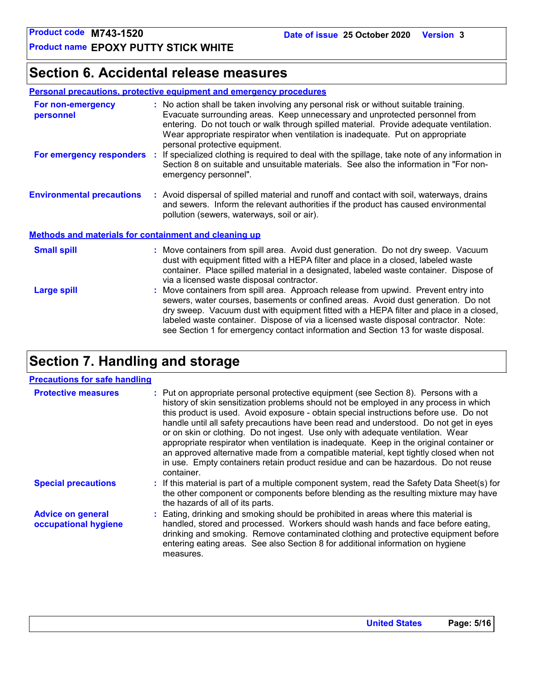### **Section 6. Accidental release measures**

#### **Personal precautions, protective equipment and emergency procedures**

| For non-emergency<br>personnel                               | : No action shall be taken involving any personal risk or without suitable training.<br>Evacuate surrounding areas. Keep unnecessary and unprotected personnel from<br>entering. Do not touch or walk through spilled material. Provide adequate ventilation.<br>Wear appropriate respirator when ventilation is inadequate. Put on appropriate<br>personal protective equipment.                                                               |  |  |
|--------------------------------------------------------------|-------------------------------------------------------------------------------------------------------------------------------------------------------------------------------------------------------------------------------------------------------------------------------------------------------------------------------------------------------------------------------------------------------------------------------------------------|--|--|
| For emergency responders                                     | : If specialized clothing is required to deal with the spillage, take note of any information in<br>Section 8 on suitable and unsuitable materials. See also the information in "For non-<br>emergency personnel".                                                                                                                                                                                                                              |  |  |
| <b>Environmental precautions</b>                             | : Avoid dispersal of spilled material and runoff and contact with soil, waterways, drains<br>and sewers. Inform the relevant authorities if the product has caused environmental<br>pollution (sewers, waterways, soil or air).                                                                                                                                                                                                                 |  |  |
| <b>Methods and materials for containment and cleaning up</b> |                                                                                                                                                                                                                                                                                                                                                                                                                                                 |  |  |
| <b>Small spill</b>                                           | : Move containers from spill area. Avoid dust generation. Do not dry sweep. Vacuum<br>dust with equipment fitted with a HEPA filter and place in a closed, labeled waste<br>container. Place spilled material in a designated, labeled waste container. Dispose of<br>via a licensed waste disposal contractor.                                                                                                                                 |  |  |
| <b>Large spill</b>                                           | : Move containers from spill area. Approach release from upwind. Prevent entry into<br>sewers, water courses, basements or confined areas. Avoid dust generation. Do not<br>dry sweep. Vacuum dust with equipment fitted with a HEPA filter and place in a closed,<br>labeled waste container. Dispose of via a licensed waste disposal contractor. Note:<br>see Section 1 for emergency contact information and Section 13 for waste disposal. |  |  |

### **Section 7. Handling and storage**

#### **Precautions for safe handling**

| <b>Protective measures</b>                       | : Put on appropriate personal protective equipment (see Section 8). Persons with a<br>history of skin sensitization problems should not be employed in any process in which<br>this product is used. Avoid exposure - obtain special instructions before use. Do not<br>handle until all safety precautions have been read and understood. Do not get in eyes<br>or on skin or clothing. Do not ingest. Use only with adequate ventilation. Wear<br>appropriate respirator when ventilation is inadequate. Keep in the original container or<br>an approved alternative made from a compatible material, kept tightly closed when not<br>in use. Empty containers retain product residue and can be hazardous. Do not reuse<br>container. |
|--------------------------------------------------|-------------------------------------------------------------------------------------------------------------------------------------------------------------------------------------------------------------------------------------------------------------------------------------------------------------------------------------------------------------------------------------------------------------------------------------------------------------------------------------------------------------------------------------------------------------------------------------------------------------------------------------------------------------------------------------------------------------------------------------------|
| <b>Special precautions</b>                       | : If this material is part of a multiple component system, read the Safety Data Sheet(s) for<br>the other component or components before blending as the resulting mixture may have<br>the hazards of all of its parts.                                                                                                                                                                                                                                                                                                                                                                                                                                                                                                                   |
| <b>Advice on general</b><br>occupational hygiene | : Eating, drinking and smoking should be prohibited in areas where this material is<br>handled, stored and processed. Workers should wash hands and face before eating,<br>drinking and smoking. Remove contaminated clothing and protective equipment before<br>entering eating areas. See also Section 8 for additional information on hygiene<br>measures.                                                                                                                                                                                                                                                                                                                                                                             |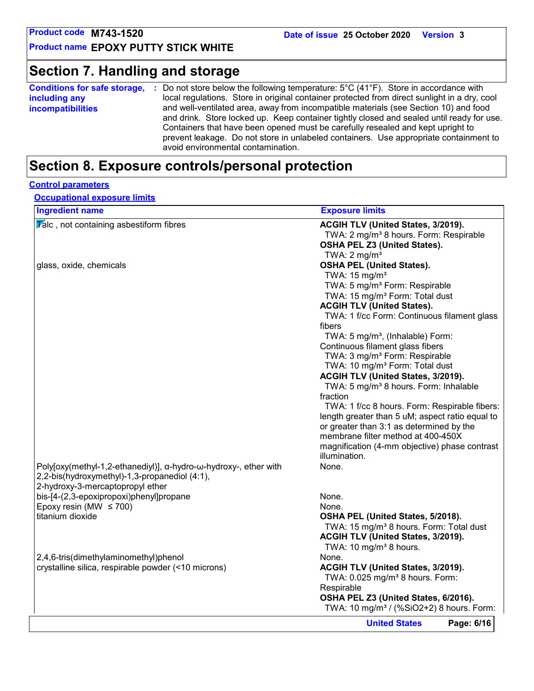### **Section 7. Handling and storage**

| local regulations. Store in original container protected from direct sunlight in a dry, cool<br>including any<br>and well-ventilated area, away from incompatible materials (see Section 10) and food<br><b>incompatibilities</b><br>and drink. Store locked up. Keep container tightly closed and sealed until ready for use.<br>Containers that have been opened must be carefully resealed and kept upright to<br>prevent leakage. Do not store in unlabeled containers. Use appropriate containment to | <b>Conditions for safe storage,</b> | Do not store below the following temperature: $5^{\circ}$ C (41 $^{\circ}$ F). Store in accordance with |
|------------------------------------------------------------------------------------------------------------------------------------------------------------------------------------------------------------------------------------------------------------------------------------------------------------------------------------------------------------------------------------------------------------------------------------------------------------------------------------------------------------|-------------------------------------|---------------------------------------------------------------------------------------------------------|
|                                                                                                                                                                                                                                                                                                                                                                                                                                                                                                            |                                     |                                                                                                         |
|                                                                                                                                                                                                                                                                                                                                                                                                                                                                                                            |                                     | avoid environmental contamination.                                                                      |

### **Section 8. Exposure controls/personal protection**

#### **Control parameters**

**Occupational exposure limits**

| <b>Ingredient name</b>                                                                                            | <b>Exposure limits</b>                               |
|-------------------------------------------------------------------------------------------------------------------|------------------------------------------------------|
| $\overline{V}$ alc, not containing asbestiform fibres                                                             | ACGIH TLV (United States, 3/2019).                   |
|                                                                                                                   | TWA: 2 mg/m <sup>3</sup> 8 hours. Form: Respirable   |
|                                                                                                                   | <b>OSHA PEL Z3 (United States).</b>                  |
|                                                                                                                   | TWA: $2 \text{ mg/m}^3$                              |
| glass, oxide, chemicals                                                                                           | <b>OSHA PEL (United States).</b>                     |
|                                                                                                                   | TWA: $15 \text{ mg/m}^3$                             |
|                                                                                                                   | TWA: 5 mg/m <sup>3</sup> Form: Respirable            |
|                                                                                                                   | TWA: 15 mg/m <sup>3</sup> Form: Total dust           |
|                                                                                                                   | <b>ACGIH TLV (United States).</b>                    |
|                                                                                                                   | TWA: 1 f/cc Form: Continuous filament glass          |
|                                                                                                                   | fibers                                               |
|                                                                                                                   | TWA: 5 mg/m <sup>3</sup> , (Inhalable) Form:         |
|                                                                                                                   | Continuous filament glass fibers                     |
|                                                                                                                   | TWA: 3 mg/m <sup>3</sup> Form: Respirable            |
|                                                                                                                   | TWA: 10 mg/m <sup>3</sup> Form: Total dust           |
|                                                                                                                   | ACGIH TLV (United States, 3/2019).                   |
|                                                                                                                   | TWA: 5 mg/m <sup>3</sup> 8 hours. Form: Inhalable    |
|                                                                                                                   | fraction                                             |
|                                                                                                                   | TWA: 1 f/cc 8 hours. Form: Respirable fibers:        |
|                                                                                                                   | length greater than 5 uM; aspect ratio equal to      |
|                                                                                                                   | or greater than 3:1 as determined by the             |
|                                                                                                                   | membrane filter method at 400-450X                   |
|                                                                                                                   | magnification (4-mm objective) phase contrast        |
|                                                                                                                   | illumination.                                        |
|                                                                                                                   | None.                                                |
| Poly[oxy(methyl-1,2-ethanediyl)], α-hydro-ω-hydroxy-, ether with<br>2,2-bis(hydroxymethyl)-1,3-propanediol (4:1), |                                                      |
|                                                                                                                   |                                                      |
| 2-hydroxy-3-mercaptopropyl ether                                                                                  | None.                                                |
| bis-[4-(2,3-epoxipropoxi)phenyl]propane                                                                           | None.                                                |
| Epoxy resin (MW $\leq$ 700)<br>titanium dioxide                                                                   |                                                      |
|                                                                                                                   | OSHA PEL (United States, 5/2018).                    |
|                                                                                                                   | TWA: 15 mg/m <sup>3</sup> 8 hours. Form: Total dust  |
|                                                                                                                   | ACGIH TLV (United States, 3/2019).                   |
|                                                                                                                   | TWA: 10 mg/m <sup>3</sup> 8 hours.                   |
| 2,4,6-tris(dimethylaminomethyl)phenol                                                                             | None.                                                |
| crystalline silica, respirable powder (<10 microns)                                                               | ACGIH TLV (United States, 3/2019).                   |
|                                                                                                                   | TWA: 0.025 mg/m <sup>3</sup> 8 hours. Form:          |
|                                                                                                                   | Respirable                                           |
|                                                                                                                   | OSHA PEL Z3 (United States, 6/2016).                 |
|                                                                                                                   | TWA: 10 mg/m <sup>3</sup> / (%SiO2+2) 8 hours. Form: |
|                                                                                                                   | Page: 6/16<br><b>United States</b>                   |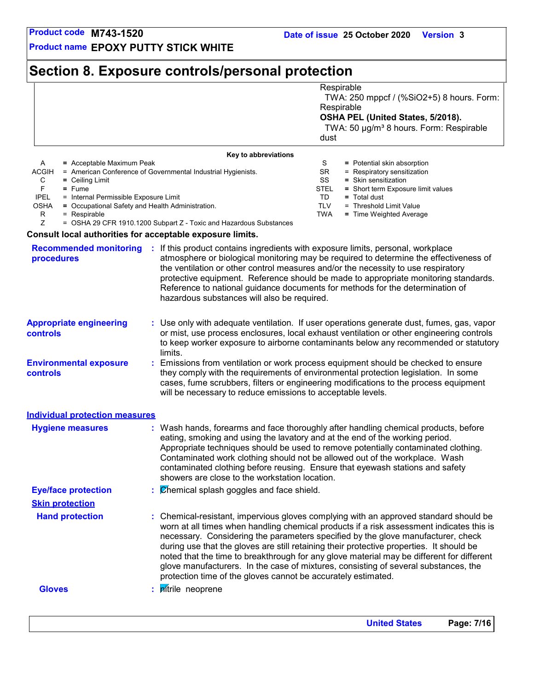**Product name EPOXY PUTTY STICK WHITE**

### **Section 8. Exposure controls/personal protection**

|             | Respirable                                                                                                                                          |
|-------------|-----------------------------------------------------------------------------------------------------------------------------------------------------|
| dust        | TWA: 250 mppcf / (%SiO2+5) 8 hours. Form:<br>Respirable<br>OSHA PEL (United States, 5/2018).<br>TWA: 50 µg/m <sup>3</sup> 8 hours. Form: Respirable |
|             |                                                                                                                                                     |
| S           | = Potential skin absorption                                                                                                                         |
| SR.         | = Respiratory sensitization                                                                                                                         |
| SS          | = Skin sensitization                                                                                                                                |
| <b>STEL</b> | = Short term Exposure limit values                                                                                                                  |
| TD.         | $=$ Total dust                                                                                                                                      |
| <b>TLV</b>  | = Threshold Limit Value                                                                                                                             |
| TWA         | = Time Weighted Average                                                                                                                             |
|             |                                                                                                                                                     |
|             |                                                                                                                                                     |

#### **Consult local authorities for acceptable exposure limits.**

| <b>Recommended monitoring</b><br>procedures | If this product contains ingredients with exposure limits, personal, workplace<br>atmosphere or biological monitoring may be required to determine the effectiveness of<br>the ventilation or other control measures and/or the necessity to use respiratory<br>protective equipment. Reference should be made to appropriate monitoring standards.<br>Reference to national guidance documents for methods for the determination of<br>hazardous substances will also be required.                                                                                                                                  |
|---------------------------------------------|----------------------------------------------------------------------------------------------------------------------------------------------------------------------------------------------------------------------------------------------------------------------------------------------------------------------------------------------------------------------------------------------------------------------------------------------------------------------------------------------------------------------------------------------------------------------------------------------------------------------|
| <b>Appropriate engineering</b><br>controls  | : Use only with adequate ventilation. If user operations generate dust, fumes, gas, vapor<br>or mist, use process enclosures, local exhaust ventilation or other engineering controls<br>to keep worker exposure to airborne contaminants below any recommended or statutory<br>limits.                                                                                                                                                                                                                                                                                                                              |
| <b>Environmental exposure</b><br>controls   | Emissions from ventilation or work process equipment should be checked to ensure<br>they comply with the requirements of environmental protection legislation. In some<br>cases, fume scrubbers, filters or engineering modifications to the process equipment<br>will be necessary to reduce emissions to acceptable levels.                                                                                                                                                                                                                                                                                        |
| <b>Individual protection measures</b>       |                                                                                                                                                                                                                                                                                                                                                                                                                                                                                                                                                                                                                      |
| <b>Hygiene measures</b>                     | : Wash hands, forearms and face thoroughly after handling chemical products, before<br>eating, smoking and using the lavatory and at the end of the working period.<br>Appropriate techniques should be used to remove potentially contaminated clothing.<br>Contaminated work clothing should not be allowed out of the workplace. Wash<br>contaminated clothing before reusing. Ensure that eyewash stations and safety<br>showers are close to the workstation location.                                                                                                                                          |
| <b>Eye/face protection</b>                  | Chemical splash goggles and face shield.                                                                                                                                                                                                                                                                                                                                                                                                                                                                                                                                                                             |
| <b>Skin protection</b>                      |                                                                                                                                                                                                                                                                                                                                                                                                                                                                                                                                                                                                                      |
| <b>Hand protection</b>                      | Chemical-resistant, impervious gloves complying with an approved standard should be<br>worn at all times when handling chemical products if a risk assessment indicates this is<br>necessary. Considering the parameters specified by the glove manufacturer, check<br>during use that the gloves are still retaining their protective properties. It should be<br>noted that the time to breakthrough for any glove material may be different for different<br>glove manufacturers. In the case of mixtures, consisting of several substances, the<br>protection time of the gloves cannot be accurately estimated. |
| <b>Gloves</b>                               | pitrile neoprene                                                                                                                                                                                                                                                                                                                                                                                                                                                                                                                                                                                                     |
|                                             |                                                                                                                                                                                                                                                                                                                                                                                                                                                                                                                                                                                                                      |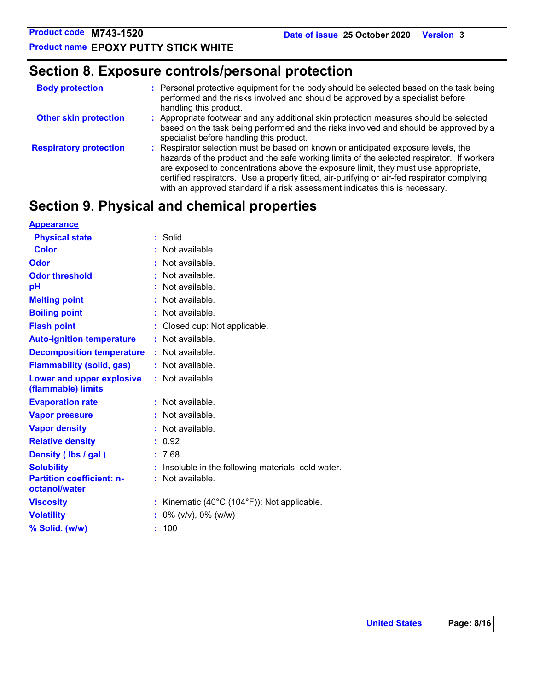**Product name EPOXY PUTTY STICK WHITE**

### **Section 8. Exposure controls/personal protection**

| <b>Body protection</b>        | : Personal protective equipment for the body should be selected based on the task being<br>performed and the risks involved and should be approved by a specialist before<br>handling this product.                                                                                                                                                                                                                                                |
|-------------------------------|----------------------------------------------------------------------------------------------------------------------------------------------------------------------------------------------------------------------------------------------------------------------------------------------------------------------------------------------------------------------------------------------------------------------------------------------------|
| <b>Other skin protection</b>  | : Appropriate footwear and any additional skin protection measures should be selected<br>based on the task being performed and the risks involved and should be approved by a<br>specialist before handling this product.                                                                                                                                                                                                                          |
| <b>Respiratory protection</b> | : Respirator selection must be based on known or anticipated exposure levels, the<br>hazards of the product and the safe working limits of the selected respirator. If workers<br>are exposed to concentrations above the exposure limit, they must use appropriate,<br>certified respirators. Use a properly fitted, air-purifying or air-fed respirator complying<br>with an approved standard if a risk assessment indicates this is necessary. |

### **Section 9. Physical and chemical properties**

| <b>Appearance</b>                                      |                                                   |
|--------------------------------------------------------|---------------------------------------------------|
| <b>Physical state</b>                                  | Solid.                                            |
| <b>Color</b>                                           | Not available.                                    |
| Odor                                                   | Not available.                                    |
| <b>Odor threshold</b>                                  | Not available.                                    |
| рH                                                     | Not available.                                    |
| <b>Melting point</b>                                   | Not available.                                    |
| <b>Boiling point</b>                                   | Not available.                                    |
| <b>Flash point</b>                                     | Closed cup: Not applicable.                       |
| <b>Auto-ignition temperature</b>                       | : Not available.                                  |
| <b>Decomposition temperature</b>                       | : Not available.                                  |
| <b>Flammability (solid, gas)</b>                       | : Not available.                                  |
| <b>Lower and upper explosive</b><br>(flammable) limits | : Not available.                                  |
| <b>Evaporation rate</b>                                | Not available.                                    |
| <b>Vapor pressure</b>                                  | Not available.                                    |
| <b>Vapor density</b>                                   | Not available.                                    |
| <b>Relative density</b>                                | : 0.92                                            |
| Density (Ibs / gal)                                    | 7.68                                              |
| <b>Solubility</b>                                      | Insoluble in the following materials: cold water. |
| <b>Partition coefficient: n-</b><br>octanol/water      | Not available.                                    |
| <b>Viscosity</b>                                       | Kinematic (40°C (104°F)): Not applicable.<br>÷.   |
| <b>Volatility</b>                                      | $0\%$ (v/v), $0\%$ (w/w)                          |
| % Solid. (w/w)                                         | 100<br>t.                                         |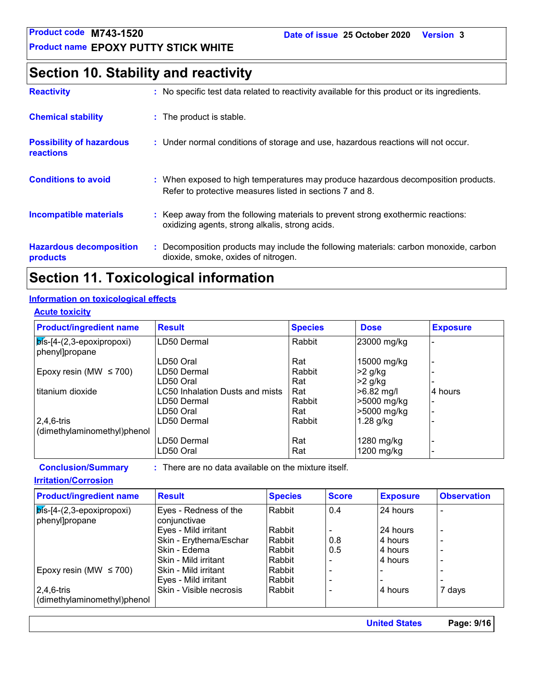### **Section 10. Stability and reactivity**

| <b>Reactivity</b>                            | : No specific test data related to reactivity available for this product or its ingredients.                                                  |
|----------------------------------------------|-----------------------------------------------------------------------------------------------------------------------------------------------|
| <b>Chemical stability</b>                    | : The product is stable.                                                                                                                      |
| <b>Possibility of hazardous</b><br>reactions | : Under normal conditions of storage and use, hazardous reactions will not occur.                                                             |
| <b>Conditions to avoid</b>                   | : When exposed to high temperatures may produce hazardous decomposition products.<br>Refer to protective measures listed in sections 7 and 8. |
| <b>Incompatible materials</b>                | : Keep away from the following materials to prevent strong exothermic reactions:<br>oxidizing agents, strong alkalis, strong acids.           |
| <b>Hazardous decomposition</b><br>products   | : Decomposition products may include the following materials: carbon monoxide, carbon<br>dioxide, smoke, oxides of nitrogen.                  |

### **Section 11. Toxicological information**

### **Information on toxicological effects**

#### **Acute toxicity**

| <b>Product/ingredient name</b>                       | <b>Result</b>                   | <b>Species</b> | <b>Dose</b>  | <b>Exposure</b> |
|------------------------------------------------------|---------------------------------|----------------|--------------|-----------------|
| $ \vec{b}$ s-[4-(2,3-epoxipropoxi)<br>phenyl]propane | LD50 Dermal                     | Rabbit         | 23000 mg/kg  |                 |
|                                                      | LD50 Oral                       | Rat            | 15000 mg/kg  |                 |
| Epoxy resin (MW $\leq$ 700)                          | LD50 Dermal                     | Rabbit         | >2 g/kg      |                 |
|                                                      | LD50 Oral                       | Rat            | >2 g/kg      |                 |
| l titanium dioxide                                   | LC50 Inhalation Dusts and mists | Rat            | $>6.82$ mg/l | 4 hours         |
|                                                      | LD50 Dermal                     | Rabbit         | >5000 mg/kg  |                 |
|                                                      | LD50 Oral                       | Rat            | >5000 mg/kg  |                 |
| $ 2,4,6$ -tris                                       | LD50 Dermal                     | Rabbit         | $1.28$ g/kg  |                 |
| (dimethylaminomethyl)phenol                          |                                 |                |              |                 |
|                                                      | LD50 Dermal                     | Rat            | 1280 mg/kg   |                 |
|                                                      | LD50 Oral                       | Rat            | 1200 mg/kg   |                 |

**Conclusion/Summary :** : There are no data available on the mixture itself.

#### **Irritation/Corrosion**

| <b>Product/ingredient name</b>                       | <b>Result</b>                         | <b>Species</b> | <b>Score</b> | <b>Exposure</b> | <b>Observation</b>       |
|------------------------------------------------------|---------------------------------------|----------------|--------------|-----------------|--------------------------|
| $ \vec{b}$ s-[4-(2,3-epoxipropoxi)<br>phenyl]propane | Eyes - Redness of the<br>conjunctivae | Rabbit         | 0.4          | 24 hours        |                          |
|                                                      | Eyes - Mild irritant                  | Rabbit         |              | 24 hours        | $\overline{\phantom{0}}$ |
|                                                      | Skin - Erythema/Eschar                | l Rabbit       | 0.8          | 4 hours         | $\overline{a}$           |
|                                                      | Skin - Edema                          | Rabbit         | 0.5          | 4 hours         | $\overline{a}$           |
|                                                      | Skin - Mild irritant                  | Rabbit         |              | 4 hours         | $\overline{a}$           |
| Epoxy resin (MW $\leq$ 700)                          | Skin - Mild irritant                  | Rabbit         |              |                 |                          |
|                                                      | Eyes - Mild irritant                  | l Rabbit       |              | -               | $\blacksquare$           |
| 2,4,6-tris                                           | Skin - Visible necrosis               | l Rabbit       |              | 4 hours         | 7 days                   |
| dimethylaminomethyl)phenol                           |                                       |                |              |                 |                          |

**United States Page: 9/16**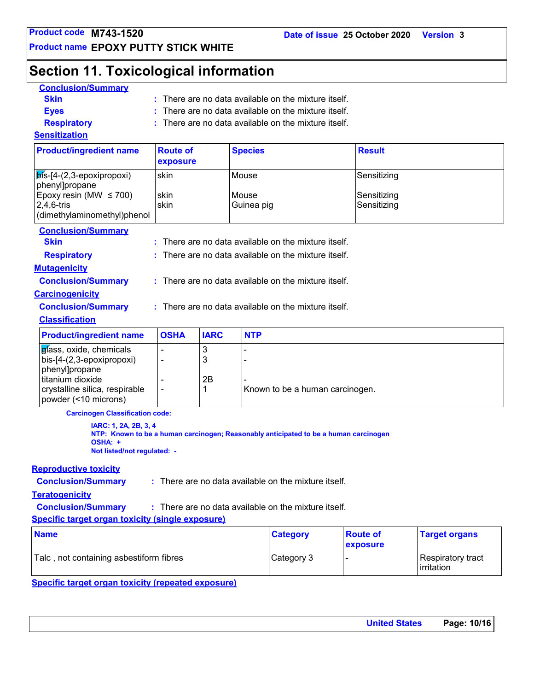**Product name EPOXY PUTTY STICK WHITE**

## **Section 11. Toxicological information**

| <b>Conclusion/Summary</b>                                                                                                                            |                                                      |                   |                     |                                                                                      |                             |                                 |
|------------------------------------------------------------------------------------------------------------------------------------------------------|------------------------------------------------------|-------------------|---------------------|--------------------------------------------------------------------------------------|-----------------------------|---------------------------------|
| <b>Skin</b>                                                                                                                                          | : There are no data available on the mixture itself. |                   |                     |                                                                                      |                             |                                 |
| <b>Eyes</b>                                                                                                                                          | There are no data available on the mixture itself.   |                   |                     |                                                                                      |                             |                                 |
| <b>Respiratory</b>                                                                                                                                   |                                                      |                   |                     | There are no data available on the mixture itself.                                   |                             |                                 |
| <b>Sensitization</b>                                                                                                                                 |                                                      |                   |                     |                                                                                      |                             |                                 |
| <b>Product/ingredient name</b>                                                                                                                       | <b>Route of</b><br>exposure                          |                   | <b>Species</b>      |                                                                                      | <b>Result</b>               |                                 |
| $\mathbf{b}$ ís-[4-(2,3-epoxipropoxi)<br>phenyl]propane                                                                                              | skin                                                 |                   | Mouse               |                                                                                      | Sensitizing                 |                                 |
| Epoxy resin (MW $\leq$ 700)<br>$2,4,6$ -tris<br>(dimethylaminomethyl)phenol                                                                          | skin<br>skin                                         |                   | Mouse<br>Guinea pig |                                                                                      | Sensitizing<br>Sensitizing  |                                 |
| <b>Conclusion/Summary</b><br><b>Skin</b>                                                                                                             |                                                      |                   |                     | : There are no data available on the mixture itself.                                 |                             |                                 |
| <b>Respiratory</b>                                                                                                                                   |                                                      |                   |                     | There are no data available on the mixture itself.                                   |                             |                                 |
| <b>Mutagenicity</b>                                                                                                                                  |                                                      |                   |                     |                                                                                      |                             |                                 |
| <b>Conclusion/Summary</b>                                                                                                                            |                                                      |                   |                     | : There are no data available on the mixture itself.                                 |                             |                                 |
| <b>Carcinogenicity</b>                                                                                                                               |                                                      |                   |                     |                                                                                      |                             |                                 |
| <b>Conclusion/Summary</b>                                                                                                                            |                                                      |                   |                     | : There are no data available on the mixture itself.                                 |                             |                                 |
| <b>Classification</b>                                                                                                                                |                                                      |                   |                     |                                                                                      |                             |                                 |
| <b>Product/ingredient name</b>                                                                                                                       | <b>OSHA</b>                                          | <b>IARC</b>       | <b>NTP</b>          |                                                                                      |                             |                                 |
| glass, oxide, chemicals<br>bis-[4-(2,3-epoxipropoxi)<br>phenyl]propane<br>titanium dioxide<br>crystalline silica, respirable<br>powder (<10 microns) | ÷                                                    | 3<br>3<br>2B<br>1 |                     | Known to be a human carcinogen.                                                      |                             |                                 |
| <b>Carcinogen Classification code:</b>                                                                                                               |                                                      |                   |                     |                                                                                      |                             |                                 |
| IARC: 1, 2A, 2B, 3, 4<br>OSHA: +<br>Not listed/not regulated: -                                                                                      |                                                      |                   |                     | NTP: Known to be a human carcinogen; Reasonably anticipated to be a human carcinogen |                             |                                 |
| <b>Reproductive toxicity</b>                                                                                                                         |                                                      |                   |                     |                                                                                      |                             |                                 |
| <b>Conclusion/Summary</b>                                                                                                                            |                                                      |                   |                     | : There are no data available on the mixture itself.                                 |                             |                                 |
| <b>Teratogenicity</b>                                                                                                                                |                                                      |                   |                     |                                                                                      |                             |                                 |
| <b>Conclusion/Summary</b><br><b>Specific target organ toxicity (single exposure)</b>                                                                 |                                                      |                   |                     | : There are no data available on the mixture itself.                                 |                             |                                 |
| <b>Name</b>                                                                                                                                          |                                                      |                   |                     | <b>Category</b>                                                                      | <b>Route of</b><br>exposure | <b>Target organs</b>            |
| Talc, not containing asbestiform fibres                                                                                                              |                                                      |                   |                     | Category 3                                                                           |                             | Respiratory tract<br>irritation |

**Specific target organ toxicity (repeated exposure)**

| <b>United States</b> | Page: 10/16 |
|----------------------|-------------|
|----------------------|-------------|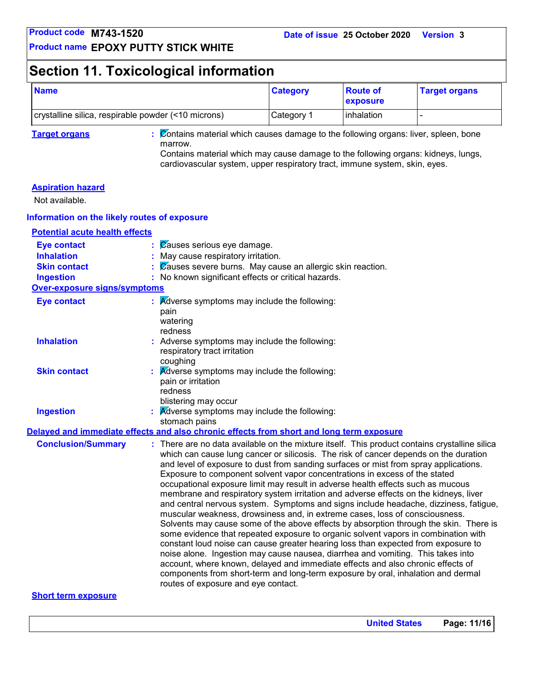### **Section 11. Toxicological information**

| <b>Name</b>                                         | <b>Category</b> | <b>Route of</b><br><b>exposure</b> | <b>Target organs</b> |
|-----------------------------------------------------|-----------------|------------------------------------|----------------------|
| crystalline silica, respirable powder (<10 microns) | Category 1      | <b>linhalation</b>                 |                      |

**Target organs :** Contains material which causes damage to the following organs: liver, spleen, bone marrow.

Contains material which may cause damage to the following organs: kidneys, lungs, cardiovascular system, upper respiratory tract, immune system, skin, eyes.

#### **Aspiration hazard**

Not available.

#### **Information on the likely routes of exposure**

### **Potential acute health effects**

| : Causes serious eye damage.                                                                                                                                                                                                                                                                                                                                                                                                                                                                                                                                                                                                                                                                                                                                                                                                                                                                                                                                                                                                                                                                                                                                                                                                                                                       |
|------------------------------------------------------------------------------------------------------------------------------------------------------------------------------------------------------------------------------------------------------------------------------------------------------------------------------------------------------------------------------------------------------------------------------------------------------------------------------------------------------------------------------------------------------------------------------------------------------------------------------------------------------------------------------------------------------------------------------------------------------------------------------------------------------------------------------------------------------------------------------------------------------------------------------------------------------------------------------------------------------------------------------------------------------------------------------------------------------------------------------------------------------------------------------------------------------------------------------------------------------------------------------------|
| : May cause respiratory irritation.                                                                                                                                                                                                                                                                                                                                                                                                                                                                                                                                                                                                                                                                                                                                                                                                                                                                                                                                                                                                                                                                                                                                                                                                                                                |
| : Causes severe burns. May cause an allergic skin reaction.                                                                                                                                                                                                                                                                                                                                                                                                                                                                                                                                                                                                                                                                                                                                                                                                                                                                                                                                                                                                                                                                                                                                                                                                                        |
| : No known significant effects or critical hazards.                                                                                                                                                                                                                                                                                                                                                                                                                                                                                                                                                                                                                                                                                                                                                                                                                                                                                                                                                                                                                                                                                                                                                                                                                                |
| <b>Over-exposure signs/symptoms</b>                                                                                                                                                                                                                                                                                                                                                                                                                                                                                                                                                                                                                                                                                                                                                                                                                                                                                                                                                                                                                                                                                                                                                                                                                                                |
| $\mathbf{R}$ <i>Adverse symptoms may include the following:</i><br>pain<br>watering<br>redness                                                                                                                                                                                                                                                                                                                                                                                                                                                                                                                                                                                                                                                                                                                                                                                                                                                                                                                                                                                                                                                                                                                                                                                     |
| : Adverse symptoms may include the following:<br>respiratory tract irritation<br>coughing                                                                                                                                                                                                                                                                                                                                                                                                                                                                                                                                                                                                                                                                                                                                                                                                                                                                                                                                                                                                                                                                                                                                                                                          |
| $\therefore$ Adverse symptoms may include the following:<br>pain or irritation<br>redness<br>blistering may occur                                                                                                                                                                                                                                                                                                                                                                                                                                                                                                                                                                                                                                                                                                                                                                                                                                                                                                                                                                                                                                                                                                                                                                  |
| $\therefore$ Adverse symptoms may include the following:<br>stomach pains                                                                                                                                                                                                                                                                                                                                                                                                                                                                                                                                                                                                                                                                                                                                                                                                                                                                                                                                                                                                                                                                                                                                                                                                          |
| Delayed and immediate effects and also chronic effects from short and long term exposure                                                                                                                                                                                                                                                                                                                                                                                                                                                                                                                                                                                                                                                                                                                                                                                                                                                                                                                                                                                                                                                                                                                                                                                           |
| : There are no data available on the mixture itself. This product contains crystalline silica<br>which can cause lung cancer or silicosis. The risk of cancer depends on the duration<br>and level of exposure to dust from sanding surfaces or mist from spray applications.<br>Exposure to component solvent vapor concentrations in excess of the stated<br>occupational exposure limit may result in adverse health effects such as mucous<br>membrane and respiratory system irritation and adverse effects on the kidneys, liver<br>and central nervous system. Symptoms and signs include headache, dizziness, fatigue,<br>muscular weakness, drowsiness and, in extreme cases, loss of consciousness.<br>Solvents may cause some of the above effects by absorption through the skin. There is<br>some evidence that repeated exposure to organic solvent vapors in combination with<br>constant loud noise can cause greater hearing loss than expected from exposure to<br>noise alone. Ingestion may cause nausea, diarrhea and vomiting. This takes into<br>account, where known, delayed and immediate effects and also chronic effects of<br>components from short-term and long-term exposure by oral, inhalation and dermal<br>routes of exposure and eye contact. |
|                                                                                                                                                                                                                                                                                                                                                                                                                                                                                                                                                                                                                                                                                                                                                                                                                                                                                                                                                                                                                                                                                                                                                                                                                                                                                    |

#### **Short term exposure**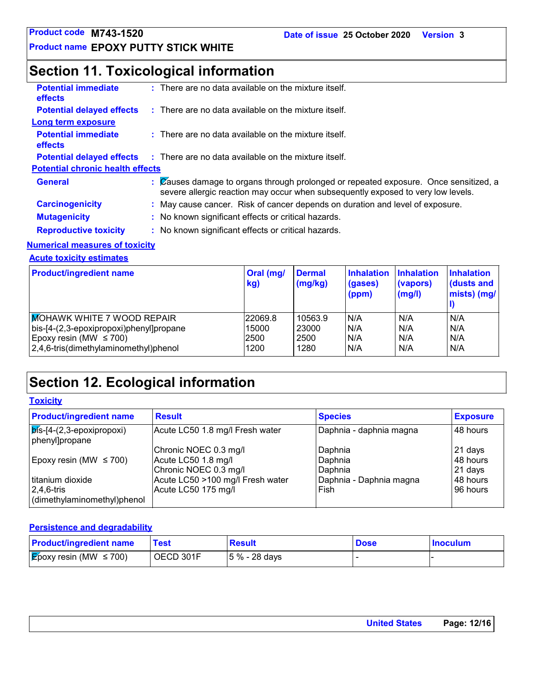### **Section 11. Toxicological information**

| <b>Potential immediate</b><br><b>effects</b> | $:$ There are no data available on the mixture itself.                                                                                                                   |
|----------------------------------------------|--------------------------------------------------------------------------------------------------------------------------------------------------------------------------|
| <b>Potential delayed effects</b>             | $\therefore$ There are no data available on the mixture itself.                                                                                                          |
| Long term exposure                           |                                                                                                                                                                          |
| <b>Potential immediate</b><br><b>effects</b> | $\therefore$ There are no data available on the mixture itself.                                                                                                          |
| <b>Potential delayed effects</b>             | $\therefore$ There are no data available on the mixture itself.                                                                                                          |
| <b>Potential chronic health effects</b>      |                                                                                                                                                                          |
| <b>General</b>                               | : Causes damage to organs through prolonged or repeated exposure. Once sensitized, a<br>severe allergic reaction may occur when subsequently exposed to very low levels. |
| <b>Carcinogenicity</b>                       | : May cause cancer. Risk of cancer depends on duration and level of exposure.                                                                                            |
| <b>Mutagenicity</b>                          | : No known significant effects or critical hazards.                                                                                                                      |
| <b>Reproductive toxicity</b>                 | : No known significant effects or critical hazards.                                                                                                                      |

#### **Numerical measures of toxicity**

**Acute toxicity estimates**

| <b>Product/ingredient name</b>          | Oral (mg/<br>kg) | <b>Dermal</b><br>(mg/kg) | Inhalation<br>(gases)<br>(ppm) | <b>Inhalation</b><br>(vapors)<br>(mg/l) | <b>Inhalation</b><br>(dusts and<br>mists) (mg/ |
|-----------------------------------------|------------------|--------------------------|--------------------------------|-----------------------------------------|------------------------------------------------|
| <b>MOHAWK WHITE 7 WOOD REPAIR</b>       | 22069.8          | 10563.9                  | IN/A                           | N/A                                     | N/A                                            |
| bis-[4-(2,3-epoxipropoxi)phenyl]propane | 15000            | 23000                    | N/A                            | N/A                                     | N/A                                            |
| Epoxy resin (MW $\leq$ 700)             | 2500             | 2500                     | N/A                            | N/A                                     | N/A                                            |
| 2,4,6-tris(dimethylaminomethyl)phenol   | 1200             | 1280                     | IN/A                           | N/A                                     | N/A                                            |

### **Section 12. Ecological information**

**Toxicity**

| <b>Product/ingredient name</b>                        | <b>Result</b>                                             | <b>Species</b>                     | <b>Exposure</b>     |
|-------------------------------------------------------|-----------------------------------------------------------|------------------------------------|---------------------|
| $\sqrt{p}$ is-[4-(2,3-epoxipropoxi)<br>phenyl]propane | Acute LC50 1.8 mg/l Fresh water                           | Daphnia - daphnia magna            | 48 hours            |
| Epoxy resin (MW $\leq$ 700)                           | Chronic NOEC 0.3 mg/l<br>Acute LC50 1.8 mg/l              | Daphnia<br>Daphnia                 | 21 days<br>48 hours |
| titanium dioxide                                      | Chronic NOEC 0.3 mg/l<br>Acute LC50 >100 mg/l Fresh water | Daphnia<br>Daphnia - Daphnia magna | 21 days<br>48 hours |
| $ 2,4,6$ -tris<br>dimethylaminomethyl)phenol          | Acute LC50 175 mg/l                                       | Fish                               | 96 hours            |

#### **Persistence and degradability**

| <b>Product/ingredient name</b>           | Test      | <b>Result</b>   | <b>Dose</b> | <b>Inoculum</b> |
|------------------------------------------|-----------|-----------------|-------------|-----------------|
| $\mathcal{E}$ poxy resin (MW $\leq$ 700) | OECD 301F | $ 5% - 28$ days |             |                 |

| <b>United States</b> | Page: 12/16 |
|----------------------|-------------|
|                      |             |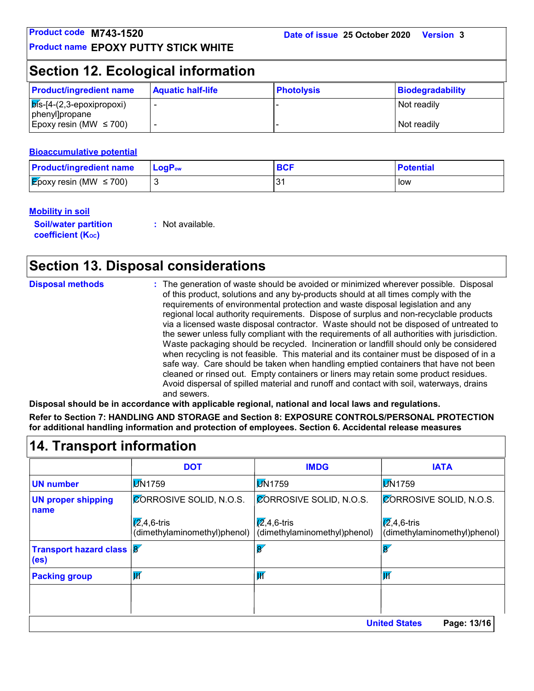### **Section 12. Ecological information**

| <b>Product/ingredient name</b>                                     | <b>Aquatic half-life</b> | <b>Photolysis</b> | Biodegradability |
|--------------------------------------------------------------------|--------------------------|-------------------|------------------|
| $\overline{\mathsf{p}}$ ís-[4-(2,3-epoxipropoxi)<br>phenyl]propane |                          |                   | l Not readily    |
| Epoxy resin (MW $\leq$ 700)                                        |                          |                   | Not readily      |

#### **Bioaccumulative potential**

| <b>Product/ingredient name</b>      | $\mathsf{LocP}_\mathsf{ow}$ | <b>BCF</b> | <b>Potential</b> |
|-------------------------------------|-----------------------------|------------|------------------|
| <b>E</b> poxy resin (MW $\leq$ 700) |                             | ົ          | l low            |

### **Mobility in soil**

**Soil/water partition coefficient (KOC)**

**:** Not available.

### **Section 13. Disposal considerations**

| <b>Disposal methods</b>   | and sewers. | : The generation of waste should be avoided or minimized wherever possible. Disposal<br>of this product, solutions and any by-products should at all times comply with the<br>requirements of environmental protection and waste disposal legislation and any<br>regional local authority requirements. Dispose of surplus and non-recyclable products<br>via a licensed waste disposal contractor. Waste should not be disposed of untreated to<br>the sewer unless fully compliant with the requirements of all authorities with jurisdiction.<br>Waste packaging should be recycled. Incineration or landfill should only be considered<br>when recycling is not feasible. This material and its container must be disposed of in a<br>safe way. Care should be taken when handling emptied containers that have not been<br>cleaned or rinsed out. Empty containers or liners may retain some product residues.<br>Avoid dispersal of spilled material and runoff and contact with soil, waterways, drains<br>Disposal should be in accordance with applicable regional, national and local laws and regulations.<br>Refer to Section 7: HANDLING AND STORAGE and Section 8: EXPOSURE CONTROLS/PERSONAL PROTECTION<br>for additional handling information and protection of employees. Section 6. Accidental release measures |             |
|---------------------------|-------------|-----------------------------------------------------------------------------------------------------------------------------------------------------------------------------------------------------------------------------------------------------------------------------------------------------------------------------------------------------------------------------------------------------------------------------------------------------------------------------------------------------------------------------------------------------------------------------------------------------------------------------------------------------------------------------------------------------------------------------------------------------------------------------------------------------------------------------------------------------------------------------------------------------------------------------------------------------------------------------------------------------------------------------------------------------------------------------------------------------------------------------------------------------------------------------------------------------------------------------------------------------------------------------------------------------------------------------------|-------------|
| 14. Transport information |             |                                                                                                                                                                                                                                                                                                                                                                                                                                                                                                                                                                                                                                                                                                                                                                                                                                                                                                                                                                                                                                                                                                                                                                                                                                                                                                                                   |             |
|                           | DOT         | <b>IMDG</b>                                                                                                                                                                                                                                                                                                                                                                                                                                                                                                                                                                                                                                                                                                                                                                                                                                                                                                                                                                                                                                                                                                                                                                                                                                                                                                                       | <b>IATA</b> |

|                                                                     | <b>DOT</b>                                           | <b>IMDG</b>                                          | <b>IATA</b>                                          |
|---------------------------------------------------------------------|------------------------------------------------------|------------------------------------------------------|------------------------------------------------------|
| <b>UN number</b>                                                    | <b>M</b> 1759                                        | <b>M</b> 1759                                        | <b>M</b> 1759                                        |
| <b>UN proper shipping</b><br>name                                   | <b>CORROSIVE SOLID, N.O.S.</b>                       | <b>CORROSIVE SOLID, N.O.S.</b>                       | <b>CORROSIVE SOLID, N.O.S.</b>                       |
|                                                                     | $\sqrt{2}$ ,4,6-tris<br>(dimethylaminomethyl)phenol) | $\sqrt{2}$ ,4,6-tris<br>(dimethylaminomethyl)phenol) | $\sqrt{2}$ ,4,6-tris<br>(dimethylaminomethyl)phenol) |
| <b>Transport hazard class <math> 8 </math></b><br>(e <sub>s</sub> ) |                                                      | $\overline{8}$                                       | $\mathbf{\overline{8}}$                              |
| <b>Packing group</b>                                                | $\overline{\mathsf{W}}$                              | $\overline{\mathsf{W}}$                              | $\overline{\mathsf{W}}$                              |
|                                                                     |                                                      |                                                      |                                                      |
|                                                                     |                                                      |                                                      |                                                      |
|                                                                     |                                                      |                                                      | <b>United States</b><br>Page: 13/16                  |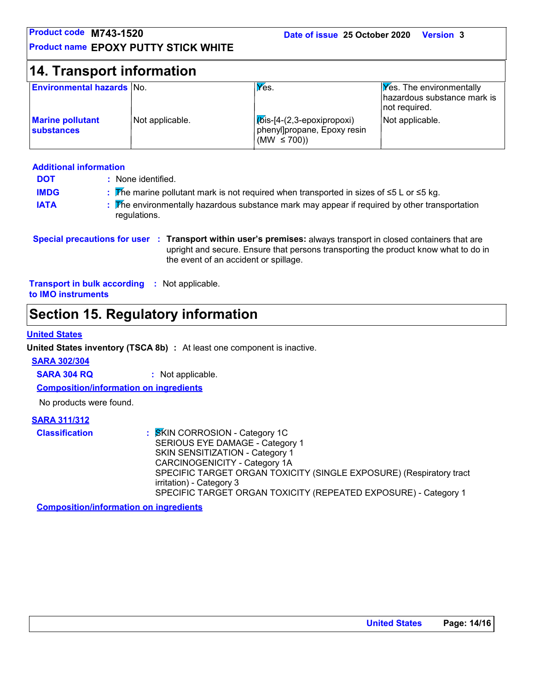| Product code M743-1520                |                                             | Date of issue 25 October 2020                                                | <b>Version 3</b>                                                                |
|---------------------------------------|---------------------------------------------|------------------------------------------------------------------------------|---------------------------------------------------------------------------------|
|                                       | <b>Product name EPOXY PUTTY STICK WHITE</b> |                                                                              |                                                                                 |
| <b>14. Transport information</b>      |                                             |                                                                              |                                                                                 |
| <b>Environmental hazards No.</b>      |                                             | $V$ es.                                                                      | <b>Yes.</b> The environmentally<br>hazardous substance mark is<br>not required. |
| <b>Marine pollutant</b><br>substances | Not applicable.                             | Mis-[4-(2,3-epoxipropoxi)<br>phenyl]propane, Epoxy resin<br>(MW $\leq$ 700)) | Not applicable.                                                                 |

### **Additional information**

| <b>DOT</b>  | : None identified.                                                                                            |
|-------------|---------------------------------------------------------------------------------------------------------------|
| <b>IMDG</b> | : The marine pollutant mark is not required when transported in sizes of $\leq 5$ L or $\leq 5$ kg.           |
| <b>IATA</b> | : The environmentally hazardous substance mark may appear if required by other transportation<br>regulations. |

#### **Special precautions for user Transport within user's premises:** always transport in closed containers that are **:** upright and secure. Ensure that persons transporting the product know what to do in the event of an accident or spillage.

**Transport in bulk according :** Not applicable. **to IMO instruments**

### **Section 15. Regulatory information**

#### **United States**

**United States inventory (TSCA 8b) :** At least one component is inactive.

#### **SARA 302/304**

**SARA 304 RQ :** Not applicable.

**Composition/information on ingredients**

No products were found.

### **SARA 311/312**

| <b>Classification</b> | : SKIN CORROSION - Category 1C                                      |
|-----------------------|---------------------------------------------------------------------|
|                       | SERIOUS EYE DAMAGE - Category 1                                     |
|                       | SKIN SENSITIZATION - Category 1                                     |
|                       | CARCINOGENICITY - Category 1A                                       |
|                       | SPECIFIC TARGET ORGAN TOXICITY (SINGLE EXPOSURE) (Respiratory tract |
|                       | irritation) - Category 3                                            |
|                       | SPECIFIC TARGET ORGAN TOXICITY (REPEATED EXPOSURE) - Category 1     |

**Composition/information on ingredients**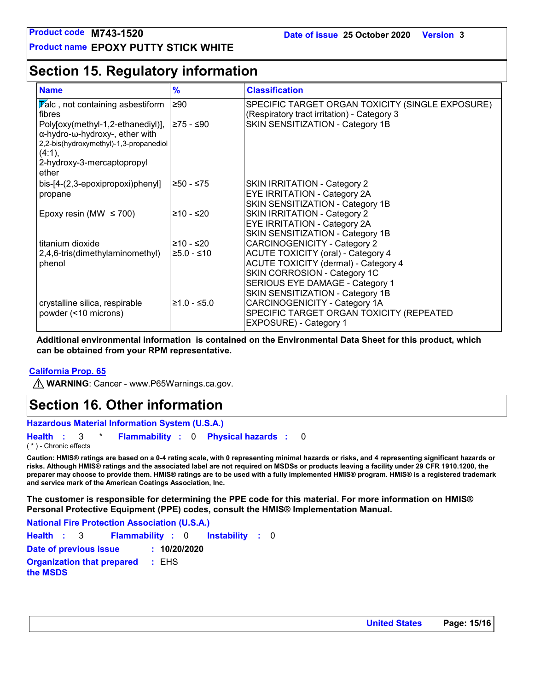### **Section 15. Regulatory information**

| <b>Name</b>                                                                                                                                                                        | $\frac{9}{6}$               | <b>Classification</b>                                                                                                                                                                                                                  |
|------------------------------------------------------------------------------------------------------------------------------------------------------------------------------------|-----------------------------|----------------------------------------------------------------------------------------------------------------------------------------------------------------------------------------------------------------------------------------|
| $\sqrt{\mathbf{r}}$ alc, not containing asbestiform<br>fibres                                                                                                                      | ≥90                         | SPECIFIC TARGET ORGAN TOXICITY (SINGLE EXPOSURE)<br>(Respiratory tract irritation) - Category 3                                                                                                                                        |
| Poly[oxy(methyl-1,2-ethanediyl)],<br>$\alpha$ -hydro- $\omega$ -hydroxy-, ether with<br>2,2-bis(hydroxymethyl)-1,3-propanediol<br>$(4:1)$ ,<br>2-hydroxy-3-mercaptopropyl<br>ether | ≥75 - ≤90                   | SKIN SENSITIZATION - Category 1B                                                                                                                                                                                                       |
| bis-[4-(2,3-epoxipropoxi)phenyl]<br>propane                                                                                                                                        | ≥50 - ≤75                   | <b>SKIN IRRITATION - Category 2</b><br><b>EYE IRRITATION - Category 2A</b><br>SKIN SENSITIZATION - Category 1B                                                                                                                         |
| Epoxy resin (MW $\leq$ 700)                                                                                                                                                        | ≥10 - ≤20                   | <b>SKIN IRRITATION - Category 2</b><br><b>EYE IRRITATION - Category 2A</b><br>SKIN SENSITIZATION - Category 1B                                                                                                                         |
| titanium dioxide<br>2,4,6-tris(dimethylaminomethyl)<br>phenol                                                                                                                      | $≥10 - ≤20$<br>$≥5.0 - ≤10$ | <b>CARCINOGENICITY - Category 2</b><br><b>ACUTE TOXICITY (oral) - Category 4</b><br><b>ACUTE TOXICITY (dermal) - Category 4</b><br>SKIN CORROSION - Category 1C<br>SERIOUS EYE DAMAGE - Category 1<br>SKIN SENSITIZATION - Category 1B |
| crystalline silica, respirable<br>powder (<10 microns)                                                                                                                             | $≥1.0 - ≤5.0$               | CARCINOGENICITY - Category 1A<br>SPECIFIC TARGET ORGAN TOXICITY (REPEATED<br>EXPOSURE) - Category 1                                                                                                                                    |

**Additional environmental information is contained on the Environmental Data Sheet for this product, which can be obtained from your RPM representative.**

#### **California Prop. 65**

**M** WARNING: Cancer - www.P65Warnings.ca.gov.

### **Section 16. Other information**

**Hazardous Material Information System (U.S.A.)**

**Health** : 3 \* **Flammability** : 0 **Physical hazards** : 0 0

( \* ) - Chronic effects

**Caution: HMIS® ratings are based on a 0-4 rating scale, with 0 representing minimal hazards or risks, and 4 representing significant hazards or risks. Although HMIS® ratings and the associated label are not required on MSDSs or products leaving a facility under 29 CFR 1910.1200, the preparer may choose to provide them. HMIS® ratings are to be used with a fully implemented HMIS® program. HMIS® is a registered trademark and service mark of the American Coatings Association, Inc.**

**The customer is responsible for determining the PPE code for this material. For more information on HMIS® Personal Protective Equipment (PPE) codes, consult the HMIS® Implementation Manual.**

**National Fire Protection Association (U.S.A.)**

**Instability** : 0 **Health**: 3 **Flammability**: 0 **Instability**: 0 **Date of previous issue : 10/20/2020 Organization that prepared the MSDS :** EHS